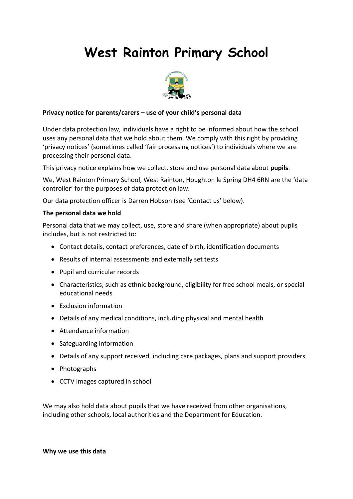# **West Rainton Primary School**



## **Privacy notice for parents/carers – use of your child's personal data**

Under data protection law, individuals have a right to be informed about how the school uses any personal data that we hold about them. We comply with this right by providing 'privacy notices' (sometimes called 'fair processing notices') to individuals where we are processing their personal data.

This privacy notice explains how we collect, store and use personal data about **pupils**.

We, West Rainton Primary School, West Rainton, Houghton le Spring DH4 6RN are the 'data controller' for the purposes of data protection law.

Our data protection officer is Darren Hobson (see 'Contact us' below).

#### **The personal data we hold**

Personal data that we may collect, use, store and share (when appropriate) about pupils includes, but is not restricted to:

- Contact details, contact preferences, date of birth, identification documents
- Results of internal assessments and externally set tests
- Pupil and curricular records
- Characteristics, such as ethnic background, eligibility for free school meals, or special educational needs
- Exclusion information
- Details of any medical conditions, including physical and mental health
- Attendance information
- Safeguarding information
- Details of any support received, including care packages, plans and support providers
- Photographs
- CCTV images captured in school

We may also hold data about pupils that we have received from other organisations, including other schools, local authorities and the Department for Education.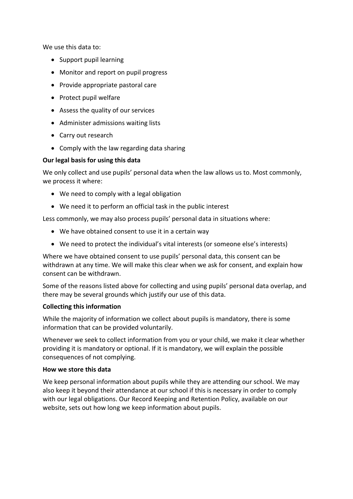We use this data to:

- Support pupil learning
- Monitor and report on pupil progress
- Provide appropriate pastoral care
- Protect pupil welfare
- Assess the quality of our services
- Administer admissions waiting lists
- Carry out research
- Comply with the law regarding data sharing

## **Our legal basis for using this data**

We only collect and use pupils' personal data when the law allows us to. Most commonly, we process it where:

- We need to comply with a legal obligation
- We need it to perform an official task in the public interest

Less commonly, we may also process pupils' personal data in situations where:

- We have obtained consent to use it in a certain way
- We need to protect the individual's vital interests (or someone else's interests)

Where we have obtained consent to use pupils' personal data, this consent can be withdrawn at any time. We will make this clear when we ask for consent, and explain how consent can be withdrawn.

Some of the reasons listed above for collecting and using pupils' personal data overlap, and there may be several grounds which justify our use of this data.

## **Collecting this information**

While the majority of information we collect about pupils is mandatory, there is some information that can be provided voluntarily.

Whenever we seek to collect information from you or your child, we make it clear whether providing it is mandatory or optional. If it is mandatory, we will explain the possible consequences of not complying.

#### **How we store this data**

We keep personal information about pupils while they are attending our school. We may also keep it beyond their attendance at our school if this is necessary in order to comply with our legal obligations. Our Record Keeping and Retention Policy, available on our website, sets out how long we keep information about pupils.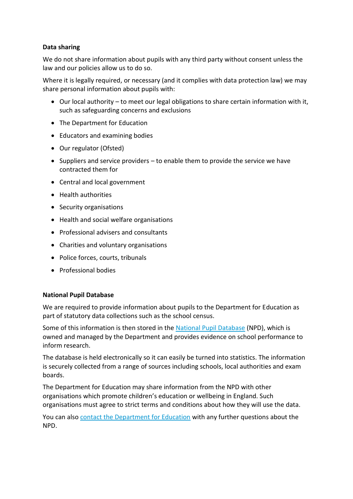## **Data sharing**

We do not share information about pupils with any third party without consent unless the law and our policies allow us to do so.

Where it is legally required, or necessary (and it complies with data protection law) we may share personal information about pupils with:

- Our local authority to meet our legal obligations to share certain information with it, such as safeguarding concerns and exclusions
- The Department for Education
- Educators and examining bodies
- Our regulator (Ofsted)
- $\bullet$  Suppliers and service providers to enable them to provide the service we have contracted them for
- Central and local government
- Health authorities
- Security organisations
- Health and social welfare organisations
- Professional advisers and consultants
- Charities and voluntary organisations
- Police forces, courts, tribunals
- Professional bodies

#### **National Pupil Database**

We are required to provide information about pupils to the Department for Education as part of statutory data collections such as the school census.

Some of this information is then stored in the [National Pupil](https://www.gov.uk/government/publications/national-pupil-database-user-guide-and-supporting-information) Database (NPD), which is owned and managed by the Department and provides evidence on school performance to inform research.

The database is held electronically so it can easily be turned into statistics. The information is securely collected from a range of sources including schools, local authorities and exam boards.

The Department for Education may share information from the NPD with other organisations which promote children's education or wellbeing in England. Such organisations must agree to strict terms and conditions about how they will use the data.

You can also [contact the Department for Education](https://www.gov.uk/contact-dfe) with any further questions about the NPD.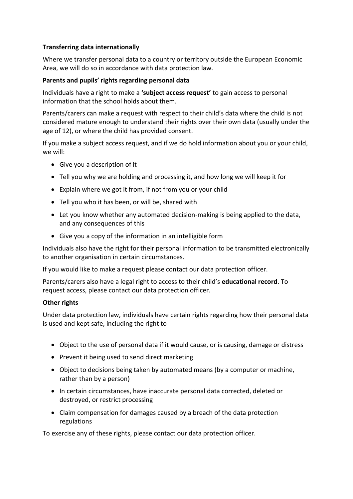# **Transferring data internationally**

Where we transfer personal data to a country or territory outside the European Economic Area, we will do so in accordance with data protection law.

## **Parents and pupils' rights regarding personal data**

Individuals have a right to make a **'subject access request'** to gain access to personal information that the school holds about them.

Parents/carers can make a request with respect to their child's data where the child is not considered mature enough to understand their rights over their own data (usually under the age of 12), or where the child has provided consent.

If you make a subject access request, and if we do hold information about you or your child, we will:

- Give you a description of it
- Tell you why we are holding and processing it, and how long we will keep it for
- Explain where we got it from, if not from you or your child
- Tell you who it has been, or will be, shared with
- Let you know whether any automated decision-making is being applied to the data, and any consequences of this
- Give you a copy of the information in an intelligible form

Individuals also have the right for their personal information to be transmitted electronically to another organisation in certain circumstances.

If you would like to make a request please contact our data protection officer.

Parents/carers also have a legal right to access to their child's **educational record**. To request access, please contact our data protection officer.

## **Other rights**

Under data protection law, individuals have certain rights regarding how their personal data is used and kept safe, including the right to

- Object to the use of personal data if it would cause, or is causing, damage or distress
- Prevent it being used to send direct marketing
- Object to decisions being taken by automated means (by a computer or machine, rather than by a person)
- In certain circumstances, have inaccurate personal data corrected, deleted or destroyed, or restrict processing
- Claim compensation for damages caused by a breach of the data protection regulations

To exercise any of these rights, please contact our data protection officer.